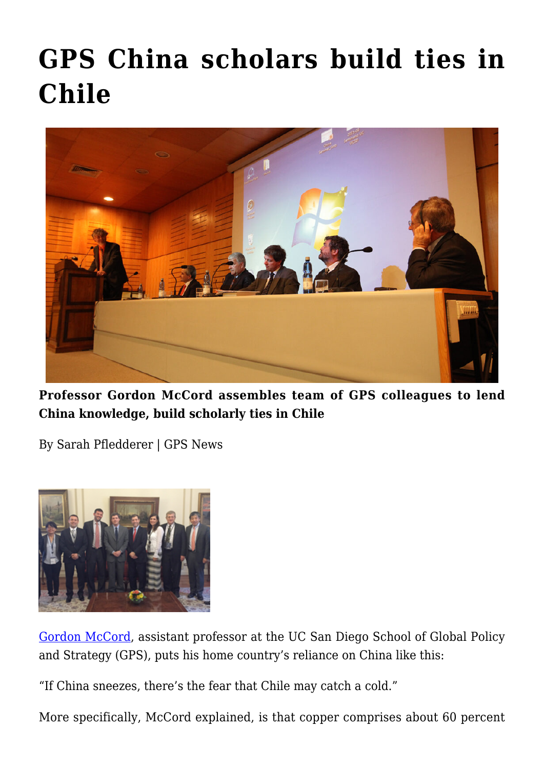## **[GPS China scholars build ties in](https://gpsnews.ucsd.edu/gps-china-scholars-build-ties-in-chile/) [Chile](https://gpsnews.ucsd.edu/gps-china-scholars-build-ties-in-chile/)**



**Professor Gordon McCord assembles team of GPS colleagues to lend China knowledge, build scholarly ties in Chile**

By Sarah Pfledderer | GPS News



[Gordon McCord](https://gps.ucsd.edu/faculty-directory/gordon-mccord.html), assistant professor at the UC San Diego School of Global Policy and Strategy (GPS), puts his home country's reliance on China like this:

"If China sneezes, there's the fear that Chile may catch a cold."

More specifically, McCord explained, is that copper comprises about 60 percent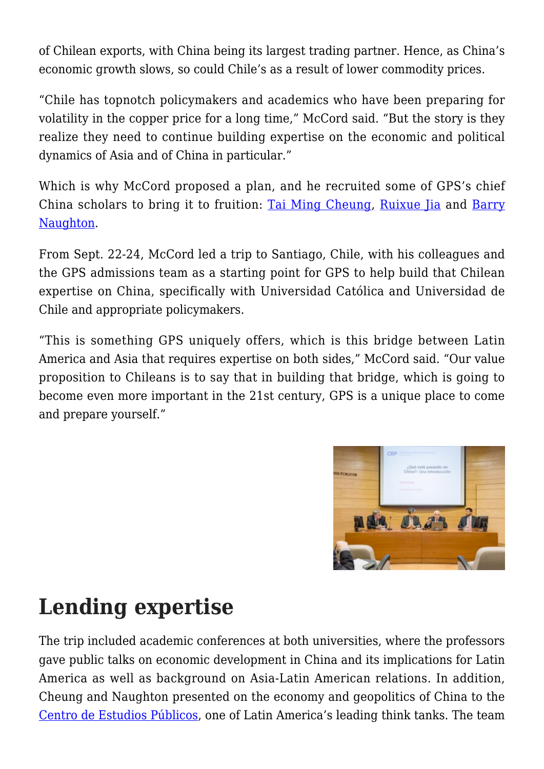of Chilean exports, with China being its largest trading partner. Hence, as China's economic growth slows, so could Chile's as a result of lower commodity prices.

"Chile has topnotch policymakers and academics who have been preparing for volatility in the copper price for a long time," McCord said. "But the story is they realize they need to continue building expertise on the economic and political dynamics of Asia and of China in particular."

Which is why McCord proposed a plan, and he recruited some of GPS's chief China scholars to bring it to fruition: [Tai Ming Cheung,](https://gps.ucsd.edu/faculty-directory/tai-ming-cheung.html) [Ruixue Jia](https://gps.ucsd.edu/faculty-directory/ruixue-jia.html) and [Barry](https://gps.ucsd.edu/faculty-directory/barry-naughton.html) [Naughton.](https://gps.ucsd.edu/faculty-directory/barry-naughton.html)

From Sept. 22-24, McCord led a trip to Santiago, Chile, with his colleagues and the GPS admissions team as a starting point for GPS to help build that Chilean expertise on China, specifically with Universidad Católica and Universidad de Chile and appropriate policymakers.

"This is something GPS uniquely offers, which is this bridge between Latin America and Asia that requires expertise on both sides," McCord said. "Our value proposition to Chileans is to say that in building that bridge, which is going to become even more important in the 21st century, GPS is a unique place to come and prepare yourself."



## **Lending expertise**

The trip included academic conferences at both universities, where the professors gave public talks on economic development in China and its implications for Latin America as well as background on Asia-Latin American relations. In addition, Cheung and Naughton presented on the economy and geopolitics of China to the [Centro de Estudios Públicos,](http://www.cepchile.cl/dms/lang_1/home.html) one of Latin America's leading think tanks. The team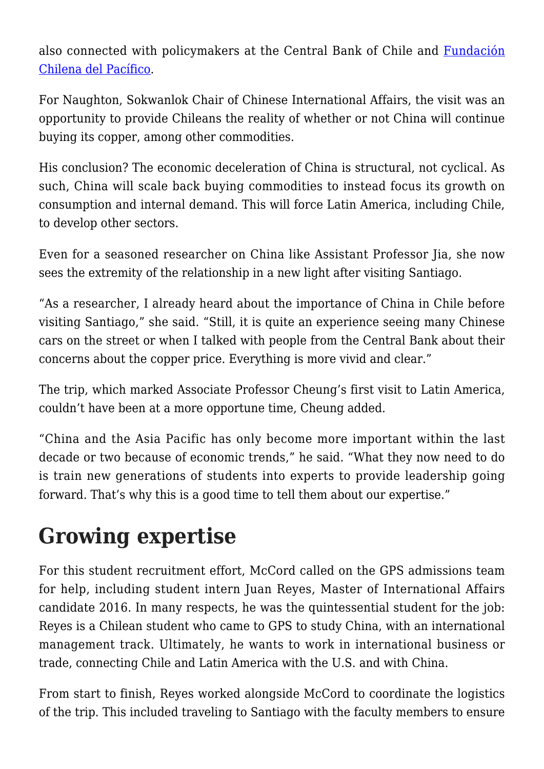also connected with policymakers at the Central Bank of Chile and [Fundación](http://www.funpacifico.cl/) [Chilena del Pacífico.](http://www.funpacifico.cl/)

For Naughton, Sokwanlok Chair of Chinese International Affairs, the visit was an opportunity to provide Chileans the reality of whether or not China will continue buying its copper, among other commodities.

His conclusion? The economic deceleration of China is structural, not cyclical. As such, China will scale back buying commodities to instead focus its growth on consumption and internal demand. This will force Latin America, including Chile, to develop other sectors.

Even for a seasoned researcher on China like Assistant Professor Jia, she now sees the extremity of the relationship in a new light after visiting Santiago.

"As a researcher, I already heard about the importance of China in Chile before visiting Santiago," she said. "Still, it is quite an experience seeing many Chinese cars on the street or when I talked with people from the Central Bank about their concerns about the copper price. Everything is more vivid and clear."

The trip, which marked Associate Professor Cheung's first visit to Latin America, couldn't have been at a more opportune time, Cheung added.

"China and the Asia Pacific has only become more important within the last decade or two because of economic trends," he said. "What they now need to do is train new generations of students into experts to provide leadership going forward. That's why this is a good time to tell them about our expertise."

## **Growing expertise**

For this student recruitment effort, McCord called on the GPS admissions team for help, including student intern Juan Reyes, Master of International Affairs candidate 2016. In many respects, he was the quintessential student for the job: Reyes is a Chilean student who came to GPS to study China, with an international management track. Ultimately, he wants to work in international business or trade, connecting Chile and Latin America with the U.S. and with China.

From start to finish, Reyes worked alongside McCord to coordinate the logistics of the trip. This included traveling to Santiago with the faculty members to ensure